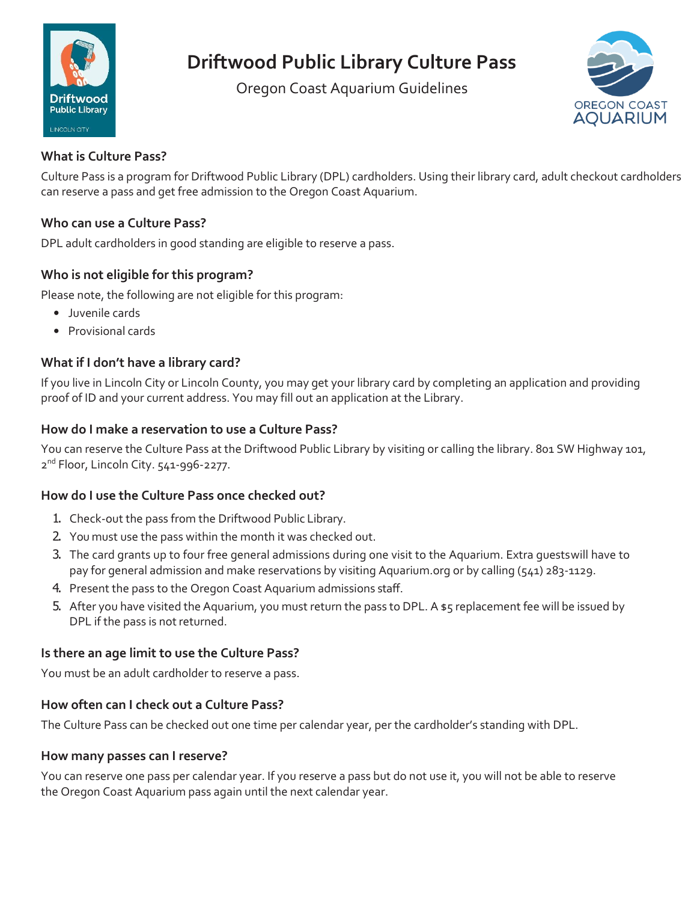

# **Driftwood Public Library Culture Pass**

Oregon Coast Aquarium Guidelines



# **What is Culture Pass?**

Culture Pass is a program for Driftwood Public Library (DPL) cardholders. Using their library card, adult checkout cardholders can reserve a pass and get free admission to the Oregon Coast Aquarium.

## **Who can use a Culture Pass?**

DPL adult cardholders in good standing are eligible to reserve a pass.

# **Who is not eligible for this program?**

Please note, the following are not eligible for this program:

- Juvenile cards
- Provisional cards

# **What if I don't have a library card?**

If you live in Lincoln City or Lincoln County, you may get your library card by completing an application and providing proof of ID and your current address. You may fill out an application at the Library.

#### **How do I make a reservation to use a Culture Pass?**

You can reserve the Culture Pass at the Driftwood Public Library by visiting or calling the library. 801 SW Highway 101, 2<sup>nd</sup> Floor, Lincoln City. 541-996-2277.

#### **How do I use the Culture Pass once checked out?**

- 1. Check-out the pass from the Driftwood Public Library.
- 2. You must use the pass within the month it was checked out.
- 3. The card grants up to four free general admissions during one visit to the Aquarium. Extra guestswill have to pay for general admission and make reservations by visiting Aquarium.org or by calling (541) 283-1129.
- 4. Present the pass to the Oregon Coast Aquarium admissions staff.
- 5. After you have visited the Aquarium, you must return the pass to DPL. A \$5 replacement fee will be issued by DPL if the pass is not returned.

#### **Is there an age limit to use the Culture Pass?**

You must be an adult cardholder to reserve a pass.

#### **How often can I check out a Culture Pass?**

The Culture Pass can be checked out one time per calendar year, per the cardholder's standing with DPL.

#### **How many passes can I reserve?**

You can reserve one pass per calendar year. If you reserve a pass but do not use it, you will not be able to reserve the Oregon Coast Aquarium pass again until the next calendar year.